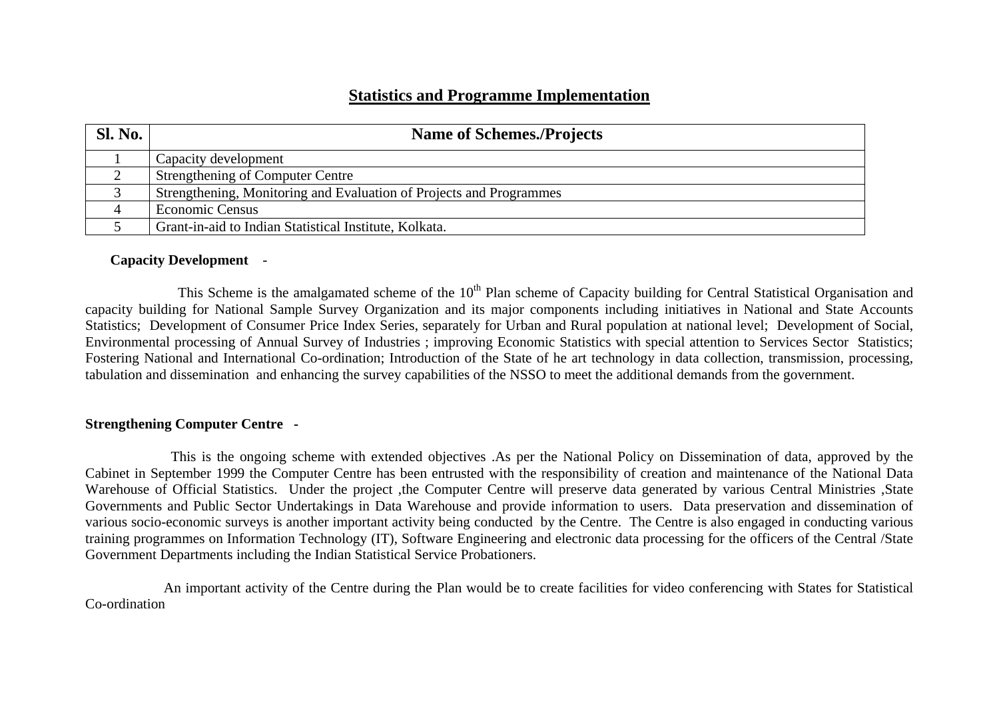# **Statistics and Programme Implementation**

| <b>Sl. No.</b> | <b>Name of Schemes./Projects</b>                                    |
|----------------|---------------------------------------------------------------------|
|                | Capacity development                                                |
|                | <b>Strengthening of Computer Centre</b>                             |
|                | Strengthening, Monitoring and Evaluation of Projects and Programmes |
|                | Economic Census                                                     |
|                | Grant-in-aid to Indian Statistical Institute, Kolkata.              |

### **Capacity Development** -

This Scheme is the amalgamated scheme of the 10<sup>th</sup> Plan scheme of Capacity building for Central Statistical Organisation and capacity building for National Sample Survey Organization and its major components including initiatives in National and State Accounts Statistics; Development of Consumer Price Index Series, separately for Urban and Rural population at national level; Development of Social, Environmental processing of Annual Survey of Industries ; improving Economic Statistics with special attention to Services Sector Statistics; Fostering National and International Co-ordination; Introduction of the State of he art technology in data collection, transmission, processing, tabulation and dissemination and enhancing the survey capabilities of the NSSO to meet the additional demands from the government.

## **Strengthening Computer Centre -**

This is the ongoing scheme with extended objectives .As per the National Policy on Dissemination of data, approved by the Cabinet in September 1999 the Computer Centre has been entrusted with the responsibility of creation and maintenance of the National Data Warehouse of Official Statistics. Under the project ,the Computer Centre will preserve data generated by various Central Ministries ,State Governments and Public Sector Undertakings in Data Warehouse and provide information to users. Data preservation and dissemination of various socio-economic surveys is another important activity being conducted by the Centre. The Centre is also engaged in conducting various training programmes on Information Technology (IT), Software Engineering and electronic data processing for the officers of the Central /State Government Departments including the Indian Statistical Service Probationers.

 An important activity of the Centre during the Plan would be to create facilities for video conferencing with States for Statistical Co-ordination